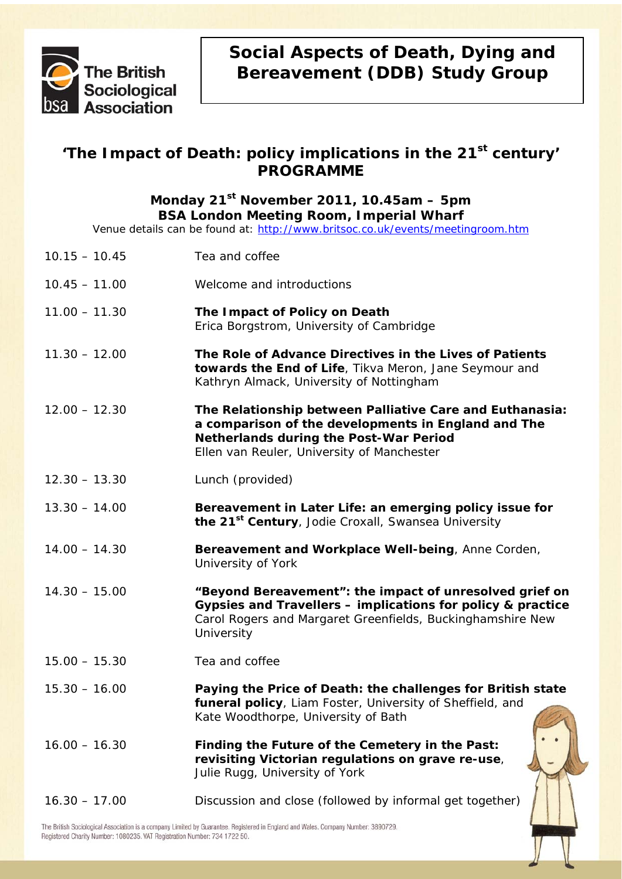

# **Social Aspects of Death, Dying and Bereavement (DDB) Study Group**

## 'The Impact of Death: policy implications in the 21<sup>st</sup> century' **PROGRAMME**

## **Monday 21st November 2011, 10.45am – 5pm BSA London Meeting Room, Imperial Wharf**

Venue details can be found at: <http://www.britsoc.co.uk/events/meetingroom.htm>

| $10.15 - 10.45$ | Tea and coffee                                                                                                                                                                                          |
|-----------------|---------------------------------------------------------------------------------------------------------------------------------------------------------------------------------------------------------|
| $10.45 - 11.00$ | Welcome and introductions                                                                                                                                                                               |
| $11.00 - 11.30$ | The Impact of Policy on Death<br>Erica Borgstrom, University of Cambridge                                                                                                                               |
| $11.30 - 12.00$ | The Role of Advance Directives in the Lives of Patients<br>towards the End of Life, Tikva Meron, Jane Seymour and<br>Kathryn Almack, University of Nottingham                                           |
| $12.00 - 12.30$ | The Relationship between Palliative Care and Euthanasia:<br>a comparison of the developments in England and The<br>Netherlands during the Post-War Period<br>Ellen van Reuler, University of Manchester |
| $12.30 - 13.30$ | Lunch (provided)                                                                                                                                                                                        |
| $13.30 - 14.00$ | Bereavement in Later Life: an emerging policy issue for<br>the 21 <sup>st</sup> Century, Jodie Croxall, Swansea University                                                                              |
| $14.00 - 14.30$ | Bereavement and Workplace Well-being, Anne Corden,<br>University of York                                                                                                                                |
| $14.30 - 15.00$ | "Beyond Bereavement": the impact of unresolved grief on<br>Gypsies and Travellers - implications for policy & practice<br>Carol Rogers and Margaret Greenfields, Buckinghamshire New<br>University      |
| $15.00 - 15.30$ | Tea and coffee                                                                                                                                                                                          |
| $15.30 - 16.00$ | Paying the Price of Death: the challenges for British state<br>funeral policy, Liam Foster, University of Sheffield, and<br>Kate Woodthorpe, University of Bath                                         |
| $16.00 - 16.30$ | Finding the Future of the Cemetery in the Past:<br>revisiting Victorian regulations on grave re-use,<br>Julie Rugg, University of York                                                                  |
| $16.30 - 17.00$ | Discussion and close (followed by informal get together)                                                                                                                                                |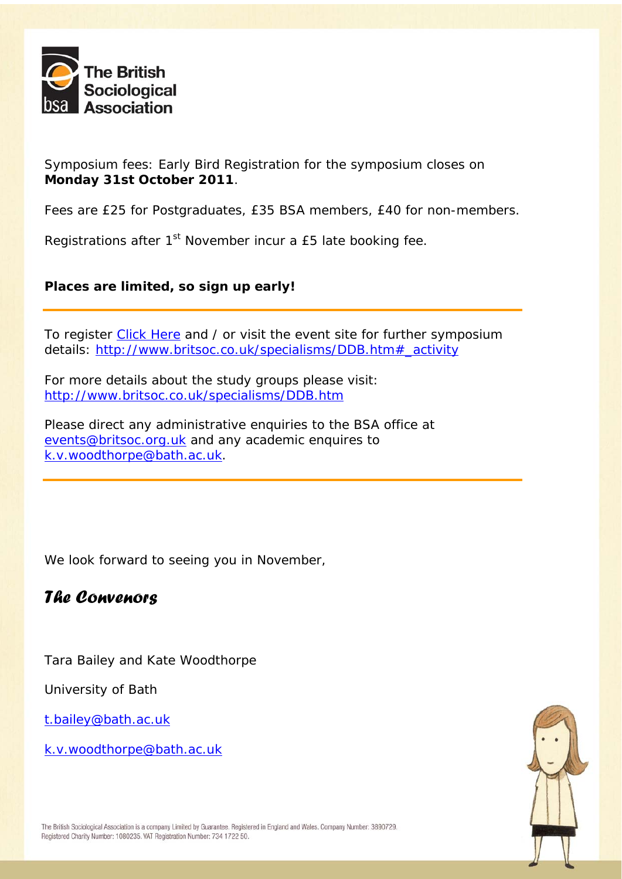

Symposium fees: Early Bird Registration for the symposium closes on **Monday 31st October 2011**.

Fees are £25 for Postgraduates, £35 BSA members, £40 for non-members.

Registrations after 1<sup>st</sup> November incur a £5 late booking fee.

### **Places are limited, so sign up early!**

To register [Click Here](http://bsas.esithosting.co.uk/public/event/eventBooking.aspx?id=EVT10080) and / or visit the event site for further symposium details: [http://www.britsoc.co.uk/specialisms/DDB.htm#\\_activity](http://www.britsoc.co.uk/specialisms/DDB.htm#_activity)

For more details about the study groups please visit: <http://www.britsoc.co.uk/specialisms/DDB.htm>

Please direct any administrative enquiries to the BSA office at [events@britsoc.org.uk](mailto:events@britsoc.org.uk) and any academic enquires to [k.v.woodthorpe@bath.ac.uk.](mailto:k.v.woodthorpe@bath.ac.uk)

We look forward to seeing you in November,

# *The Convenors*

Tara Bailey and Kate Woodthorpe

University of Bath

[t.bailey@bath.ac.uk](mailto:t.bailey@bath.ac.uk)

[k.v.woodthorpe@bath.ac.uk](mailto:k.v.woodthorpe@bath.ac.uk) 

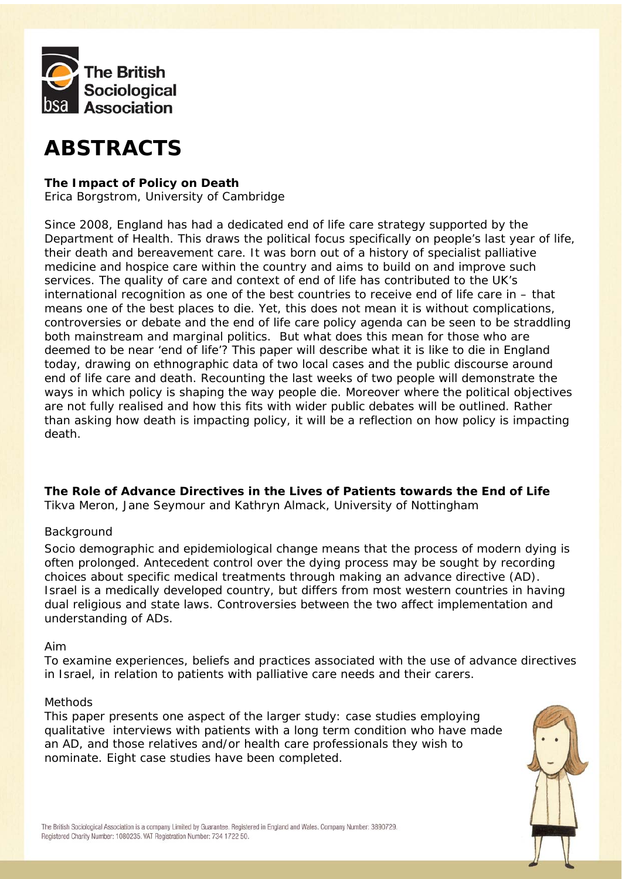

# **ABSTRACTS**

#### **The Impact of Policy on Death**

*Erica Borgstrom, University of Cambridge* 

Since 2008, England has had a dedicated end of life care strategy supported by the Department of Health. This draws the political focus specifically on people's last year of life, their death and bereavement care. It was born out of a history of specialist palliative medicine and hospice care within the country and aims to build on and improve such services. The quality of care and context of end of life has contributed to the UK's international recognition as one of the best countries to receive end of life care in – that means one of the best places to die. Yet, this does not mean it is without complications, controversies or debate and the end of life care policy agenda can be seen to be straddling both mainstream and marginal politics. But what does this mean for those who are deemed to be near 'end of life'? This paper will describe what it is like to die in England today, drawing on ethnographic data of two local cases and the public discourse around end of life care and death. Recounting the last weeks of two people will demonstrate the ways in which policy is shaping the way people die. Moreover where the political objectives are not fully realised and how this fits with wider public debates will be outlined. Rather than asking how death is impacting policy, it will be a reflection on how policy is impacting death.

## **The Role of Advance Directives in the Lives of Patients towards the End of Life**

*Tikva Meron, Jane Seymour and Kathryn Almack, University of Nottingham* 

#### *Background*

Socio demographic and epidemiological change means that the process of modern dying is often prolonged. Antecedent control over the dying process may be sought by recording choices about specific medical treatments through making an advance directive (AD). Israel is a medically developed country, but differs from most western countries in having dual religious and state laws. Controversies between the two affect implementation and understanding of ADs.

#### *Aim*

To examine experiences, beliefs and practices associated with the use of advance directives in Israel, in relation to patients with palliative care needs and their carers.

#### *Methods*

This paper presents one aspect of the larger study: case studies employing qualitative interviews with patients with a long term condition who have made an AD, and those relatives and/or health care professionals they wish to nominate. Eight case studies have been completed.

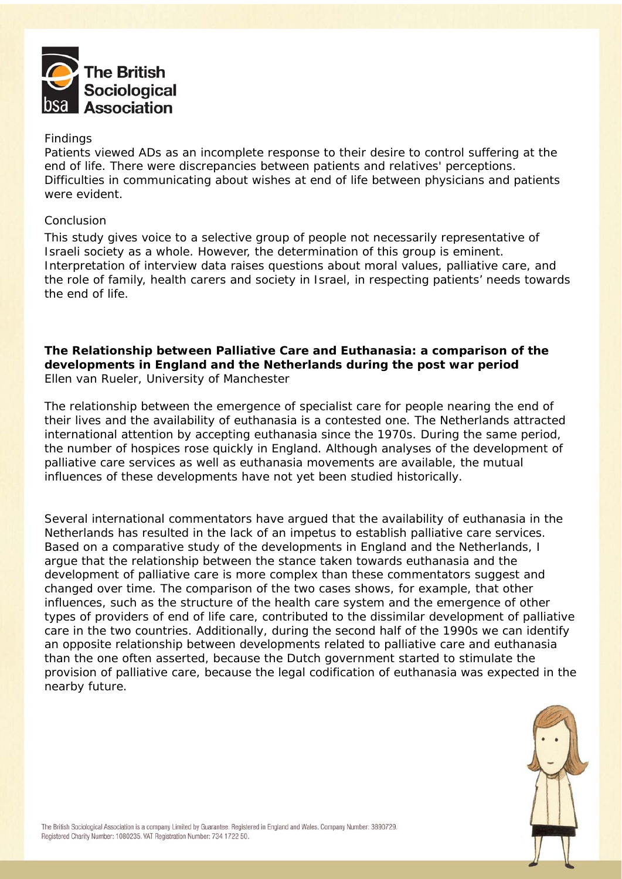

#### *Findings*

Patients viewed ADs as an incomplete response to their desire to control suffering at the end of life. There were discrepancies between patients and relatives' perceptions. Difficulties in communicating about wishes at end of life between physicians and patients were evident.

#### *Conclusion*

This study gives voice to a selective group of people not necessarily representative of Israeli society as a whole. However, the determination of this group is eminent. Interpretation of interview data raises questions about moral values, palliative care, and the role of family, health carers and society in Israel, in respecting patients' needs towards the end of life.

**The Relationship between Palliative Care and Euthanasia: a comparison of the developments in England and the Netherlands during the post war period**  *Ellen van Rueler, University of Manchester* 

The relationship between the emergence of specialist care for people nearing the end of their lives and the availability of euthanasia is a contested one. The Netherlands attracted international attention by accepting euthanasia since the 1970s. During the same period, the number of hospices rose quickly in England. Although analyses of the development of palliative care services as well as euthanasia movements are available, the mutual influences of these developments have not yet been studied historically.

Several international commentators have argued that the availability of euthanasia in the Netherlands has resulted in the lack of an impetus to establish palliative care services. Based on a comparative study of the developments in England and the Netherlands, I argue that the relationship between the stance taken towards euthanasia and the development of palliative care is more complex than these commentators suggest and changed over time. The comparison of the two cases shows, for example, that other influences, such as the structure of the health care system and the emergence of other types of providers of end of life care, contributed to the dissimilar development of palliative care in the two countries. Additionally, during the second half of the 1990s we can identify an opposite relationship between developments related to palliative care and euthanasia than the one often asserted, because the Dutch government started to stimulate the provision of palliative care, because the legal codification of euthanasia was expected in the nearby future.

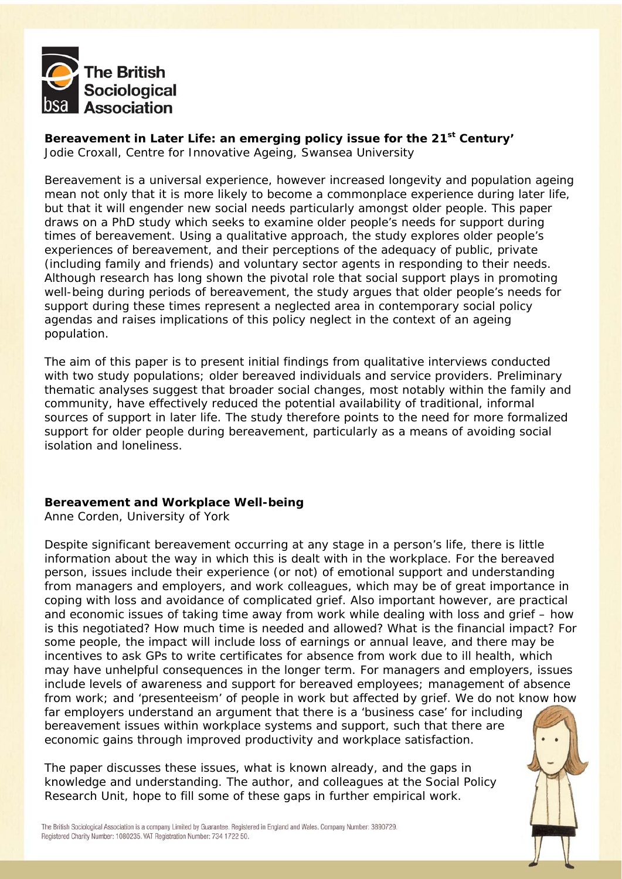

**Bereavement in Later Life: an emerging policy issue for the 21st Century'**  *Jodie Croxall, Centre for Innovative Ageing, Swansea University* 

Bereavement is a universal experience, however increased longevity and population ageing mean not only that it is more likely to become a commonplace experience during later life, but that it will engender new social needs particularly amongst older people. This paper draws on a PhD study which seeks to examine older people's needs for support during times of bereavement. Using a qualitative approach, the study explores older people's experiences of bereavement, and their perceptions of the adequacy of public, private (including family and friends) and voluntary sector agents in responding to their needs. Although research has long shown the pivotal role that social support plays in promoting well-being during periods of bereavement, the study argues that older people's needs for support during these times represent a neglected area in contemporary social policy agendas and raises implications of this policy neglect in the context of an ageing population.

The aim of this paper is to present initial findings from qualitative interviews conducted with two study populations; older bereaved individuals and service providers. Preliminary thematic analyses suggest that broader social changes, most notably within the family and community, have effectively reduced the potential availability of traditional, informal sources of support in later life. The study therefore points to the need for more formalized support for older people during bereavement, particularly as a means of avoiding social isolation and loneliness.

#### **Bereavement and Workplace Well-being**

*Anne Corden, University of York* 

Despite significant bereavement occurring at any stage in a person's life, there is little information about the way in which this is dealt with in the workplace. For the bereaved person, issues include their experience (or not) of emotional support and understanding from managers and employers, and work colleagues, which may be of great importance in coping with loss and avoidance of complicated grief. Also important however, are practical and economic issues of taking time away from work while dealing with loss and grief – how is this negotiated? How much time is needed and allowed? What is the financial impact? For some people, the impact will include loss of earnings or annual leave, and there may be incentives to ask GPs to write certificates for absence from work due to ill health, which may have unhelpful consequences in the longer term. For managers and employers, issues include levels of awareness and support for bereaved employees; management of absence from work; and 'presenteeism' of people in work but affected by grief. We do not know how far employers understand an argument that there is a 'business case' for including bereavement issues within workplace systems and support, such that there are economic gains through improved productivity and workplace satisfaction.

The paper discusses these issues, what is known already, and the gaps in knowledge and understanding. The author, and colleagues at the Social Policy Research Unit, hope to fill some of these gaps in further empirical work.

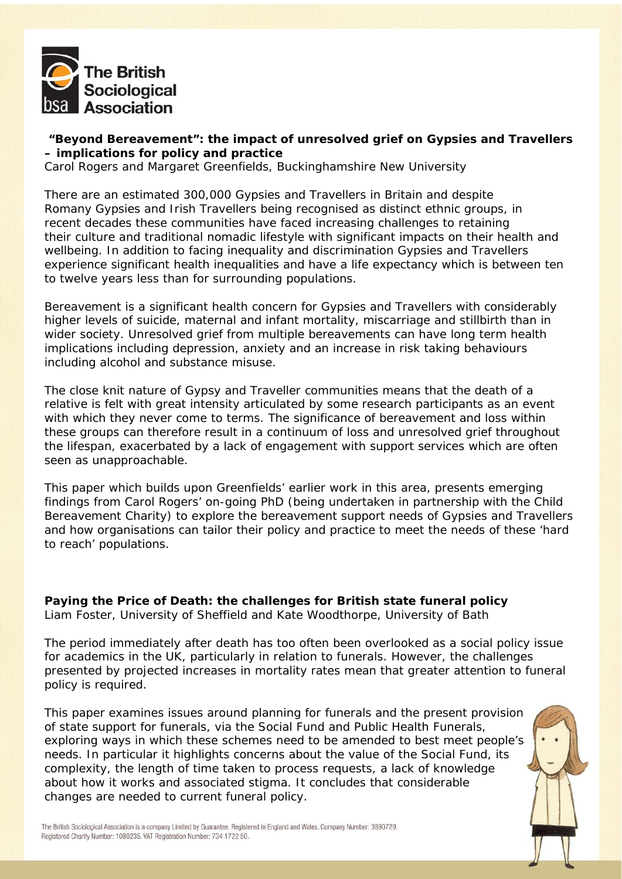

#### **"Beyond Bereavement": the impact of unresolved grief on Gypsies and Travellers – implications for policy and practice**

*Carol Rogers and Margaret Greenfields, Buckinghamshire New University* 

There are an estimated 300,000 Gypsies and Travellers in Britain and despite Romany Gypsies and Irish Travellers being recognised as distinct ethnic groups, in recent decades these communities have faced increasing challenges to retaining their culture and traditional nomadic lifestyle with significant impacts on their health and wellbeing. In addition to facing inequality and discrimination Gypsies and Travellers experience significant health inequalities and have a life expectancy which is between ten to twelve years less than for surrounding populations.

Bereavement is a significant health concern for Gypsies and Travellers with considerably higher levels of suicide, maternal and infant mortality, miscarriage and stillbirth than in wider society. Unresolved grief from multiple bereavements can have long term health implications including depression, anxiety and an increase in risk taking behaviours including alcohol and substance misuse.

The close knit nature of Gypsy and Traveller communities means that the death of a relative is felt with great intensity articulated by some research participants as an event with which they never come to terms. The significance of bereavement and loss within these groups can therefore result in a continuum of loss and unresolved grief throughout the lifespan, exacerbated by a lack of engagement with support services which are often seen as unapproachable.

This paper which builds upon Greenfields' earlier work in this area, presents emerging findings from Carol Rogers' on-going PhD (being undertaken in partnership with the Child Bereavement Charity) to explore the bereavement support needs of Gypsies and Travellers and how organisations can tailor their policy and practice to meet the needs of these 'hard to reach' populations.

**Paying the Price of Death: the challenges for British state funeral policy**  *Liam Foster, University of Sheffield and Kate Woodthorpe, University of Bath* 

The period immediately after death has too often been overlooked as a social policy issue for academics in the UK, particularly in relation to funerals. However, the challenges presented by projected increases in mortality rates mean that greater attention to funeral policy is required.

This paper examines issues around planning for funerals and the present provision of state support for funerals, via the Social Fund and Public Health Funerals, exploring ways in which these schemes need to be amended to best meet people's needs. In particular it highlights concerns about the value of the Social Fund, its complexity, the length of time taken to process requests, a lack of knowledge about how it works and associated stigma. It concludes that considerable changes are needed to current funeral policy.